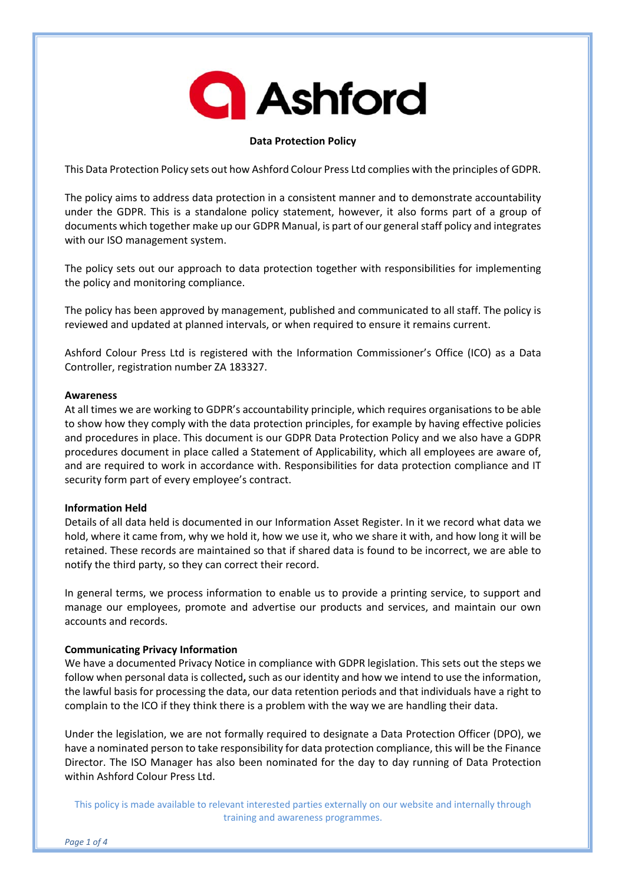# **Q** Ashford

# **Data Protection Policy**

This Data Protection Policy sets out how Ashford Colour Press Ltd complies with the principles of GDPR.

The policy aims to address data protection in a consistent manner and to demonstrate accountability under the GDPR. This is a standalone policy statement, however, it also forms part of a group of documents which together make up our GDPR Manual, is part of our generalstaff policy and integrates with our ISO management system.

The policy sets out our approach to data protection together with responsibilities for implementing the policy and monitoring compliance.

The policy has been approved by management, published and communicated to all staff. The policy is reviewed and updated at planned intervals, or when required to ensure it remains current.

Ashford Colour Press Ltd is registered with the Information Commissioner's Office (ICO) as a Data Controller, registration number ZA 183327.

#### **Awareness**

At all times we are working to GDPR's accountability principle, which requires organisations to be able to show how they comply with the data protection principles, for example by having effective policies and procedures in place. This document is our GDPR Data Protection Policy and we also have a GDPR procedures document in place called a Statement of Applicability, which all employees are aware of, and are required to work in accordance with. Responsibilities for data protection compliance and IT security form part of every employee's contract.

## **Information Held**

Details of all data held is documented in our Information Asset Register. In it we record what data we hold, where it came from, why we hold it, how we use it, who we share it with, and how long it will be retained. These records are maintained so that if shared data is found to be incorrect, we are able to notify the third party, so they can correct their record.

In general terms, we process information to enable us to provide a printing service, to support and manage our employees, promote and advertise our products and services, and maintain our own accounts and records.

## **Communicating Privacy Information**

We have a documented Privacy Notice in compliance with GDPR legislation. This sets out the steps we follow when personal data is collected**,** such as our identity and how we intend to use the information, the lawful basis for processing the data, our data retention periods and that individuals have a right to complain to the ICO if they think there is a problem with the way we are handling their data.

Under the legislation, we are not formally required to designate a Data Protection Officer (DPO), we have a nominated person to take responsibility for data protection compliance, this will be the Finance Director. The ISO Manager has also been nominated for the day to day running of Data Protection within Ashford Colour Press Ltd.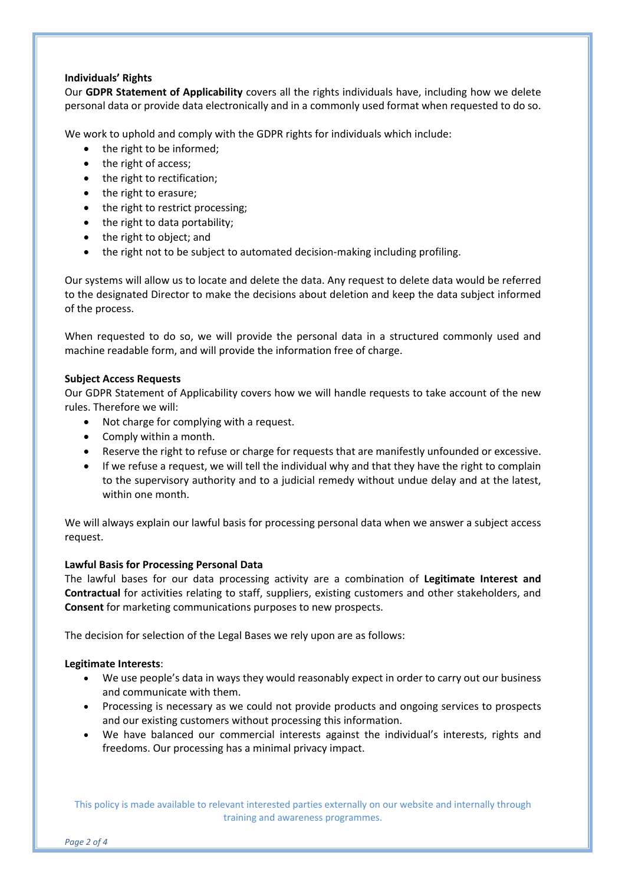## **Individuals' Rights**

Our **GDPR Statement of Applicability** covers all the rights individuals have, including how we delete personal data or provide data electronically and in a commonly used format when requested to do so.

We work to uphold and comply with the GDPR rights for individuals which include:

- the right to be informed;
- the right of access;
- the right to rectification;
- the right to erasure;
- the right to restrict processing;
- the right to data portability;
- the right to object; and
- the right not to be subject to automated decision‐making including profiling.

Our systems will allow us to locate and delete the data. Any request to delete data would be referred to the designated Director to make the decisions about deletion and keep the data subject informed of the process.

When requested to do so, we will provide the personal data in a structured commonly used and machine readable form, and will provide the information free of charge.

# **Subject Access Requests**

Our GDPR Statement of Applicability covers how we will handle requests to take account of the new rules. Therefore we will:

- Not charge for complying with a request.
- Comply within a month.
- Reserve the right to refuse or charge for requests that are manifestly unfounded or excessive.
- If we refuse a request, we will tell the individual why and that they have the right to complain to the supervisory authority and to a judicial remedy without undue delay and at the latest, within one month.

We will always explain our lawful basis for processing personal data when we answer a subject access request.

# **Lawful Basis for Processing Personal Data**

The lawful bases for our data processing activity are a combination of **Legitimate Interest and Contractual** for activities relating to staff, suppliers, existing customers and other stakeholders, and **Consent** for marketing communications purposes to new prospects.

The decision for selection of the Legal Bases we rely upon are as follows:

## **Legitimate Interests**:

- We use people's data in ways they would reasonably expect in order to carry out our business and communicate with them.
- Processing is necessary as we could not provide products and ongoing services to prospects and our existing customers without processing this information.
- We have balanced our commercial interests against the individual's interests, rights and freedoms. Our processing has a minimal privacy impact.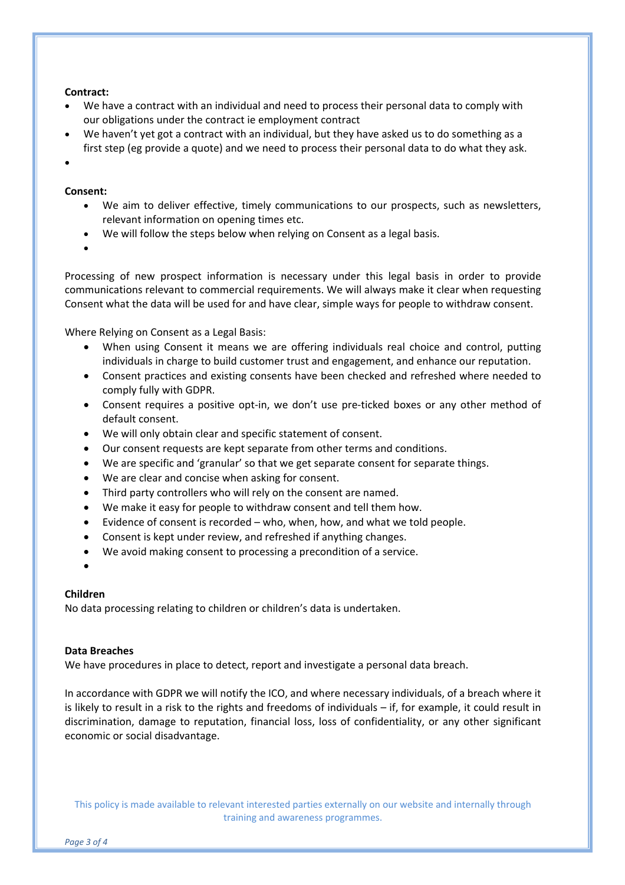#### **Contract:**

- We have a contract with an individual and need to process their personal data to comply with our obligations under the contract ie employment contract
- We haven't yet got a contract with an individual, but they have asked us to do something as a first step (eg provide a quote) and we need to process their personal data to do what they ask.
- $\bullet$

#### **Consent:**

- We aim to deliver effective, timely communications to our prospects, such as newsletters, relevant information on opening times etc.
- We will follow the steps below when relying on Consent as a legal basis.
- $\bullet$

Processing of new prospect information is necessary under this legal basis in order to provide communications relevant to commercial requirements. We will always make it clear when requesting Consent what the data will be used for and have clear, simple ways for people to withdraw consent.

Where Relying on Consent as a Legal Basis:

- When using Consent it means we are offering individuals real choice and control, putting individuals in charge to build customer trust and engagement, and enhance our reputation.
- Consent practices and existing consents have been checked and refreshed where needed to comply fully with GDPR.
- Consent requires a positive opt‐in, we don't use pre‐ticked boxes or any other method of default consent.
- We will only obtain clear and specific statement of consent.
- Our consent requests are kept separate from other terms and conditions.
- We are specific and 'granular' so that we get separate consent for separate things.
- We are clear and concise when asking for consent.
- Third party controllers who will rely on the consent are named.
- We make it easy for people to withdraw consent and tell them how.
- Evidence of consent is recorded who, when, how, and what we told people.
- Consent is kept under review, and refreshed if anything changes.
- We avoid making consent to processing a precondition of a service.
- $\bullet$

## **Children**

No data processing relating to children or children's data is undertaken.

#### **Data Breaches**

We have procedures in place to detect, report and investigate a personal data breach.

In accordance with GDPR we will notify the ICO, and where necessary individuals, of a breach where it is likely to result in a risk to the rights and freedoms of individuals – if, for example, it could result in discrimination, damage to reputation, financial loss, loss of confidentiality, or any other significant economic or social disadvantage.